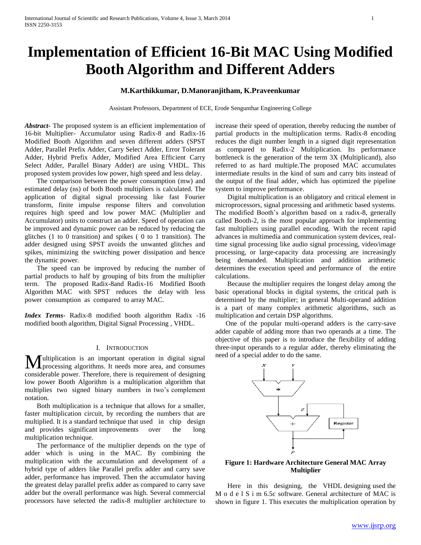# **Implementation of Efficient 16-Bit MAC Using Modified Booth Algorithm and Different Adders**

# **M.Karthikkumar, D.Manoranjitham, K.Praveenkumar**

Assistant Professors, Department of ECE, Erode Sengunthar Engineering College

*Abstract***-** The proposed system is an efficient implementation of 16-bit Multiplier- Accumulator using Radix-8 and Radix-16 Modified Booth Algorithm and seven different adders (SPST Adder, Parallel Prefix Adder, Carry Select Adder, Error Tolerant Adder, Hybrid Prefix Adder, Modified Area Efficient Carry Select Adder, Parallel Binary Adder) are using VHDL. This proposed system provides low power, high speed and less delay.

 The comparison between the power consumption (mw) and estimated delay (ns) of both Booth multipliers is calculated. The application of digital signal processing like fast Fourier transform, finite impulse response filters and convolution requires high speed and low power MAC (Multiplier and Accumulator) units to construct an adder. Speed of operation can be improved and dynamic power can be reduced by reducing the glitches (1 to 0 transition) and spikes ( 0 to 1 transition). The adder designed using SPST avoids the unwanted glitches and spikes, minimizing the switching power dissipation and hence the dynamic power.

 The speed can be improved by reducing the number of partial products to half by grouping of bits from the multiplier term. The proposed Radix-8and Radix-16 Modified Booth Algorithm MAC with SPST reduces the delay with less power consumption as compared to array MAC.

*Index Terms*- Radix-8 modified booth algorithm Radix -16 modified booth algorithm, Digital Signal Processing , VHDL.

#### I. INTRODUCTION

Iultiplication is an important operation in digital signal **M**ultiplication is an important operation in digital signal processing algorithms. It needs more area, and consumes considerable power. Therefore, there is requirement of designing low power Booth Algorithm is a multiplication algorithm that multiplies two signed binary numbers in two's complement notation.

 Both multiplication is a technique that allows for a smaller, faster multiplication circuit, by recording the numbers that are multiplied. It is a standard technique that used in chip design and provides significant improvements over the long multiplication technique.

 The performance of the multiplier depends on the type of adder which is using in the MAC. By combining the multiplication with the accumulation and development of a hybrid type of adders like Parallel prefix adder and carry save adder, performance has improved. Then the accumulator having the greatest delay parallel prefix adder as compared to carry save adder but the overall performance was high. Several commercial processors have selected the radix-8 multiplier architecture to increase their speed of operation, thereby reducing the number of partial products in the multiplication terms. Radix-8 encoding reduces the digit number length in a signed digit representation as compared to Radix-2 Multiplication. Its performance bottleneck is the generation of the term 3X (Multiplicand), also referred to as hard multiple.The proposed MAC accumulates intermediate results in the kind of sum and carry bits instead of the output of the final adder, which has optimized the pipeline system to improve performance.

 Digital multiplication is an obligatory and critical element in microprocessors, signal processing and arithmetic based systems. The modified Booth's algorithm based on a radix-8, generally called Booth-2, is the most popular approach for implementing fast multipliers using parallel encoding. With the recent rapid advances in multimedia and communication system devices, realtime signal processing like audio signal processing, video/image processing, or large-capacity data processing are increasingly being demanded. Multiplication and addition arithmetic determines the execution speed and performance of the entire calculations.

 Because the multiplier requires the longest delay among the basic operational blocks in digital systems, the critical path is determined by the multiplier; in general Multi-operand addition is a part of many complex arithmetic algorithms, such as multiplication and certain DSP algorithms.

 One of the popular multi-operand adders is the carry-save adder capable of adding more than two operands at a time. The objective of this paper is to introduce the flexibility of adding three-input operands to a regular adder, thereby eliminating the need of a special adder to do the same.



# **Figure 1: Hardware Architecture General MAC Array Multiplier**

 Here in this designing, the VHDL designing used the M o d e l S i m 6.5c software. General architecture of MAC is shown in figure 1. This executes the multiplication operation by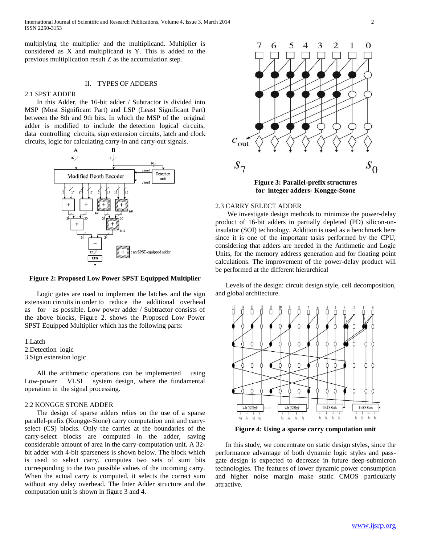International Journal of Scientific and Research Publications, Volume 4, Issue 3, March 2014 2 ISSN 2250-3153

multiplying the multiplier and the multiplicand. Multiplier is considered as X and multiplicand is Y. This is added to the previous multiplication result Z as the accumulation step.

## II. TYPES OF ADDERS

# 2.1 SPST ADDER

 In this Adder, the 16-bit adder / Subtractor is divided into MSP (Most Significant Part) and LSP (Least Significant Part) between the 8th and 9th bits. In which the MSP of the original adder is modified to include the detection logical circuits, data controlling circuits, sign extension circuits, latch and clock circuits, logic for calculating carry-in and carry-out signals.



#### **Figure 2: Proposed Low Power SPST Equipped Multiplier**

 Logic gates are used to implement the latches and the sign extension circuits in order to reduce the additional overhead as for as possible. Low power adder / Subtractor consists of the above blocks, Figure 2. shows the Proposed Low Power SPST Equipped Multiplier which has the following parts:

1.Latch 2.Detection logic 3.Sign extension logic

 All the arithmetic operations can be implemented using Low-power VLSI system design, where the fundamental operation in the signal processing.

#### 2.2 KONGGE STONE ADDER

 The design of sparse adders relies on the use of a sparse parallel-prefix (Kongge-Stone) carry computation unit and carryselect (CS) blocks. Only the carries at the boundaries of the carry-select blocks are computed in the adder, saving considerable amount of area in the carry-computation unit. A 32 bit adder with 4-bit sparseness is shown below. The block which is used to select carry, computes two sets of sum bits corresponding to the two possible values of the incoming carry. When the actual carry is computed, it selects the correct sum without any delay overhead. The Inter Adder structure and the computation unit is shown in figure 3 and 4.



2.3 CARRY SELECT ADDER

 We investigate design methods to minimize the power-delay product of 16-bit adders in partially depleted (PD) silicon-oninsulator (SOI) technology. Addition is used as a benchmark here since it is one of the important tasks performed by the CPU, considering that adders are needed in the Arithmetic and Logic Units, for the memory address generation and for floating point calculations. The improvement of the power-delay product will be performed at the different hierarchical

 Levels of the design: circuit design style, cell decomposition, and global architecture.



**Figure 4: Using a sparse carry computation unit**

 In this study, we concentrate on static design styles, since the performance advantage of both dynamic logic styles and passgate design is expected to decrease in future deep-submicron technologies. The features of lower dynamic power consumption and higher noise margin make static CMOS particularly attractive.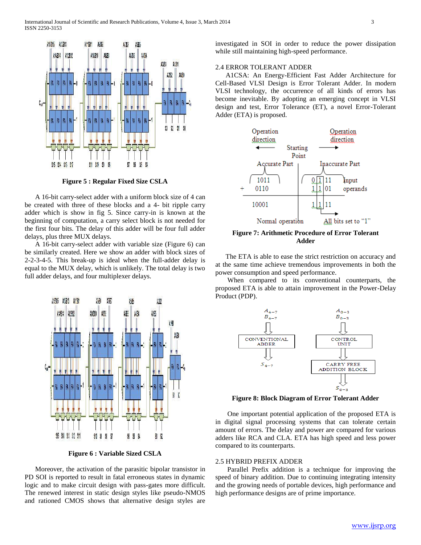

**Figure 5 : Regular Fixed Size CSLA**

 A 16-bit carry-select adder with a uniform block size of 4 can be created with three of these blocks and a 4- bit ripple carry adder which is show in fig 5. Since carry-in is known at the beginning of computation, a carry select block is not needed for the first four bits. The delay of this adder will be four full adder delays, plus three MUX delays.

 A 16-bit carry-select adder with variable size (Figure 6) can be similarly created. Here we show an adder with block sizes of 2-2-3-4-5. This break-up is ideal when the full-adder delay is equal to the MUX delay, which is unlikely. The total delay is two full adder delays, and four multiplexer delays.



**Figure 6 : Variable Sized CSLA**

 Moreover, the activation of the parasitic bipolar transistor in PD SOI is reported to result in fatal erroneous states in dynamic logic and to make circuit design with pass-gates more difficult. The renewed interest in static design styles like pseudo-NMOS and rationed CMOS shows that alternative design styles are

investigated in SOI in order to reduce the power dissipation while still maintaining high-speed performance.

# 2.4 ERROR TOLERANT ADDER

 A1CSA: An Energy-Efficient Fast Adder Architecture for Cell-Based VLSI Design is Error Tolerant Adder. In modern VLSI technology, the occurrence of all kinds of errors has become inevitable. By adopting an emerging concept in VLSI design and test, Error Tolerance (ET), a novel Error-Tolerant Adder (ETA) is proposed.



**Figure 7: Arithmetic Procedure of Error Tolerant Adder**

 The ETA is able to ease the strict restriction on accuracy and at the same time achieve tremendous improvements in both the power consumption and speed performance.

 When compared to its conventional counterparts, the proposed ETA is able to attain improvement in the Power-Delay Product (PDP).



**Figure 8: Block Diagram of Error Tolerant Adder**

 One important potential application of the proposed ETA is in digital signal processing systems that can tolerate certain amount of errors. The delay and power are compared for various adders like RCA and CLA. ETA has high speed and less power compared to its counterparts.

# 2.5 HYBRID PREFIX ADDER

 Parallel Prefix addition is a technique for improving the speed of binary addition. Due to continuing integrating intensity and the growing needs of portable devices, high performance and high performance designs are of prime importance.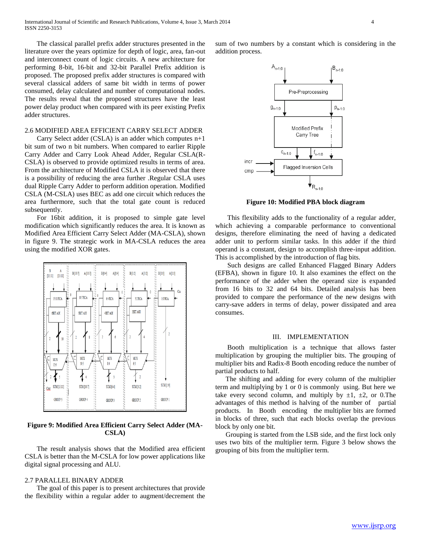The classical parallel prefix adder structures presented in the literature over the years optimize for depth of logic, area, fan-out and interconnect count of logic circuits. A new architecture for performing 8-bit, 16-bit and 32-bit Parallel Prefix addition is proposed. The proposed prefix adder structures is compared with several classical adders of same bit width in terms of power consumed, delay calculated and number of computational nodes. The results reveal that the proposed structures have the least power delay product when compared with its peer existing Prefix adder structures.

# 2.6 MODIFIED AREA EFFICIENT CARRY SELECT ADDER

 Carry Select adder (CSLA) is an adder which computes n+1 bit sum of two n bit numbers. When compared to earlier Ripple Carry Adder and Carry Look Ahead Adder, Regular CSLA(R-CSLA) is observed to provide optimized results in terms of area. From the architecture of Modified CSLA it is observed that there is a possibility of reducing the area further .Regular CSLA uses dual Ripple Carry Adder to perform addition operation. Modified CSLA (M-CSLA) uses BEC as add one circuit which reduces the area furthermore, such that the total gate count is reduced subsequently.

 For 16bit addition, it is proposed to simple gate level modification which significantly reduces the area. It is known as Modified Area Efficient Carry Select Adder (MA-CSLA), shown in figure 9. The strategic work in MA-CSLA reduces the area using the modified XOR gates.



**Figure 9: Modified Area Efficient Carry Select Adder (MA-CSLA)**

 The result analysis shows that the Modified area efficient CSLA is better than the M-CSLA for low power applications like digital signal processing and ALU.

# 2.7 PARALLEL BINARY ADDER

 The goal of this paper is to present architectures that provide the flexibility within a regular adder to augment/decrement the sum of two numbers by a constant which is considering in the addition process.



**Figure 10: Modified PBA block diagram**

 This flexibility adds to the functionality of a regular adder, which achieving a comparable performance to conventional designs, therefore eliminating the need of having a dedicated adder unit to perform similar tasks. In this adder if the third operand is a constant, design to accomplish three-input addition. This is accomplished by the introduction of flag bits.

 Such designs are called Enhanced Flagged Binary Adders (EFBA), shown in figure 10. It also examines the effect on the performance of the adder when the operand size is expanded from 16 bits to 32 and 64 bits. Detailed analysis has been provided to compare the performance of the new designs with carry-save adders in terms of delay, power dissipated and area consumes.

# III. IMPLEMENTATION

 Booth multiplication is a technique that allows faster multiplication by grouping the multiplier bits. The grouping of multiplier bits and Radix-8 Booth encoding reduce the number of partial products to half.

 The shifting and adding for every column of the multiplier term and multiplying by 1 or 0 is commonly using. But here we take every second column, and multiply by  $\pm 1$ ,  $\pm 2$ , or 0. The advantages of this method is halving of the number of partial products. In Booth encoding the multiplier bits are formed in blocks of three, such that each blocks overlap the previous block by only one bit.

 Grouping is started from the LSB side, and the first lock only uses two bits of the multiplier term. Figure 3 below shows the grouping of bits from the multiplier term.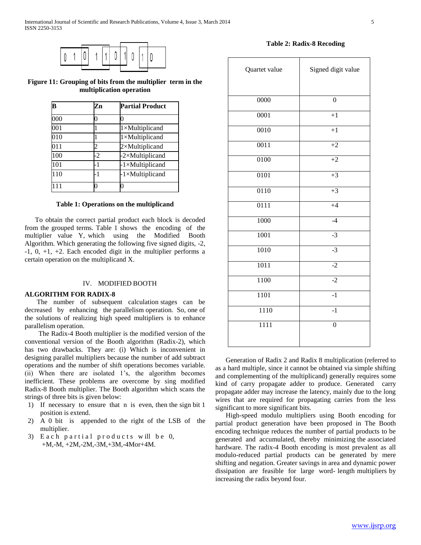

**Figure 11: Grouping of bits from the multiplier term in the multiplication operation**

| B   | Zn  | <b>Partial Product</b>   |  |  |
|-----|-----|--------------------------|--|--|
| 000 |     |                          |  |  |
| 001 |     | $1 \times$ Multiplicand  |  |  |
| 010 |     | $1 \times$ Multiplicand  |  |  |
| 011 |     | $2\times$ Multiplicand   |  |  |
| 100 | 2   | $-2\times$ Multiplicand  |  |  |
| 101 |     | $-1 \times Multiplicand$ |  |  |
| 110 | - 1 | $-1 \times Multiplicand$ |  |  |
|     |     |                          |  |  |

#### **Table 1: Operations on the multiplicand**

 To obtain the correct partial product each block is decoded from the grouped terms. Table 1 shows the encoding of the multiplier value Y, which using the Modified Booth Algorithm. Which generating the following five signed digits, -2,  $-1$ , 0,  $+1$ ,  $+2$ . Each encoded digit in the multiplier performs a certain operation on the multiplicand X.

#### IV. MODIFIED BOOTH

#### **ALGORITHM FOR RADIX-8**

 The number of subsequent calculation stages can be decreased by enhancing the parallelism operation. So, one of the solutions of realizing high speed multipliers is to enhance parallelism operation.

 The Radix-4 Booth multiplier is the modified version of the conventional version of the Booth algorithm (Radix-2), which has two drawbacks. They are: (i) Which is inconvenient in designing parallel multipliers because the number of add subtract operations and the number of shift operations becomes variable. (ii) When there are isolated 1's, the algorithm becomes inefficient. These problems are overcome by sing modified Radix-8 Booth multiplier. The Booth algorithm which scans the strings of three bits is given below:

- 1) If necessary to ensure that n is even, then the sign bit 1 position is extend.
- 2) A 0 bit is appended to the right of the LSB of the multiplier.
- 3) Each partial products will be  $0$ , +M,-M, +2M,-2M,-3M,+3M,-4Mor+4M.

**Table 2: Radix-8 Recoding**

| Quartet value     | Signed digit value |  |  |  |
|-------------------|--------------------|--|--|--|
| 0000              | $\overline{0}$     |  |  |  |
|                   |                    |  |  |  |
| 0001              | $+1$               |  |  |  |
| $\overline{0010}$ | $+1$               |  |  |  |
| 0011              | $+2$               |  |  |  |
| 0100              | $+2$               |  |  |  |
| $\overline{0101}$ | $+3$               |  |  |  |
| 0110              | $+3$               |  |  |  |
| 0111              | $+4$               |  |  |  |
| 1000              | $-4$               |  |  |  |
| 1001              | $-3$               |  |  |  |
| 1010              | $-3$               |  |  |  |
| 1011              | $-2$               |  |  |  |
| 1100              | $-2$               |  |  |  |
| 1101              | $-1$               |  |  |  |
| 1110              | $-1$               |  |  |  |
| 1111              | $\overline{0}$     |  |  |  |
|                   |                    |  |  |  |

 Generation of Radix 2 and Radix 8 multiplication (referred to as a hard multiple, since it cannot be obtained via simple shifting and complementing of the multiplicand) generally requires some kind of carry propagate adder to produce. Generated carry propagate adder may increase the latency, mainly due to the long wires that are required for propagating carries from the less significant to more significant bits.

 High-speed modulo multipliers using Booth encoding for partial product generation have been proposed in The Booth encoding technique reduces the number of partial products to be generated and accumulated, thereby minimizing the associated hardware. The radix-4 Booth encoding is most prevalent as all modulo-reduced partial products can be generated by mere shifting and negation. Greater savings in area and dynamic power dissipation are feasible for large word- length multipliers by increasing the radix beyond four.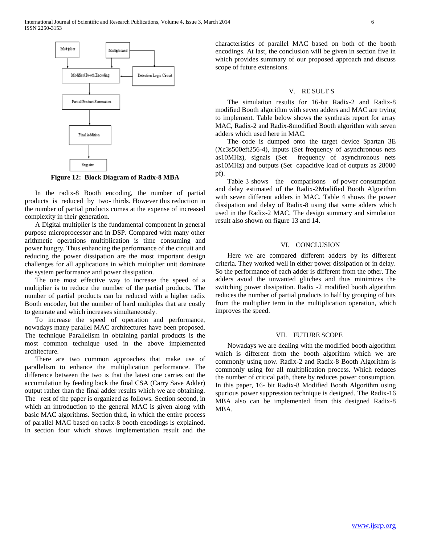

**Figure 12: Block Diagram of Radix-8 MBA**

 In the radix-8 Booth encoding, the number of partial products is reduced by two- thirds. However this reduction in the number of partial products comes at the expense of increased complexity in their generation.

 A Digital multiplier is the fundamental component in general purpose microprocessor and in DSP. Compared with many other arithmetic operations multiplication is time consuming and power hungry. Thus enhancing the performance of the circuit and reducing the power dissipation are the most important design challenges for all applications in which multiplier unit dominate the system performance and power dissipation.

 The one most effective way to increase the speed of a multiplier is to reduce the number of the partial products. The number of partial products can be reduced with a higher radix Booth encoder, but the number of hard multiples that are costly to generate and which increases simultaneously.

 To increase the speed of operation and performance, nowadays many parallel MAC architectures have been proposed. The technique Parallelism in obtaining partial products is the most common technique used in the above implemented architecture.

 There are two common approaches that make use of parallelism to enhance the multiplication performance. The difference between the two is that the latest one carries out the accumulation by feeding back the final CSA (Carry Save Adder) output rather than the final adder results which we are obtaining. The rest of the paper is organized as follows. Section second, in which an introduction to the general MAC is given along with basic MAC algorithms. Section third, in which the entire process of parallel MAC based on radix-8 booth encodings is explained. In section four which shows implementation result and the

characteristics of parallel MAC based on both of the booth encodings. At last, the conclusion will be given in section five in which provides summary of our proposed approach and discuss scope of future extensions.

#### V. RE SULT S

 The simulation results for 16-bit Radix-2 and Radix-8 modified Booth algorithm with seven adders and MAC are trying to implement. Table below shows the synthesis report for array MAC, Radix-2 and Radix-8modified Booth algorithm with seven adders which used here in MAC.

 The code is dumped onto the target device Spartan 3E (Xc3s500eft256-4), inputs (Set frequency of asynchronous nets as10MHz), signals (Set frequency of asynchronous nets as10MHz) and outputs (Set capacitive load of outputs as 28000 pf).

 Table 3 shows the comparisons of power consumption and delay estimated of the Radix-2Modified Booth Algorithm with seven different adders in MAC. Table 4 shows the power dissipation and delay of Radix-8 using that same adders which used in the Radix-2 MAC. The design summary and simulation result also shown on figure 13 and 14.

#### VI. CONCLUSION

 Here we are compared different adders by its different criteria. They worked well in either power dissipation or in delay. So the performance of each adder is different from the other. The adders avoid the unwanted glitches and thus minimizes the switching power dissipation. Radix -2 modified booth algorithm reduces the number of partial products to half by grouping of bits from the multiplier term in the multiplication operation, which improves the speed.

# VII. FUTURE SCOPE

 Nowadays we are dealing with the modified booth algorithm which is different from the booth algorithm which we are commonly using now. Radix-2 and Radix-8 Booth Algorithm is commonly using for all multiplication process. Which reduces the number of critical path, there by reduces power consumption. In this paper, 16- bit Radix-8 Modified Booth Algorithm using spurious power suppression technique is designed. The Radix-16 MBA also can be implemented from this designed Radix-8 MBA.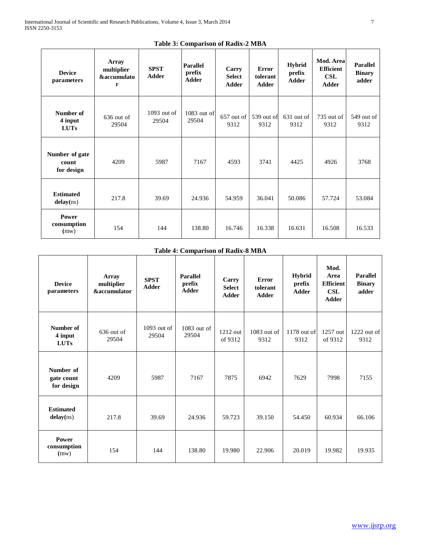**Power consumption (**mw)

| .                                         |                                                    |                             |                                           |                                        |                                   |                                         |                                                      |                                           |
|-------------------------------------------|----------------------------------------------------|-----------------------------|-------------------------------------------|----------------------------------------|-----------------------------------|-----------------------------------------|------------------------------------------------------|-------------------------------------------|
| <b>Table 3: Comparison of Radix-2 MBA</b> |                                                    |                             |                                           |                                        |                                   |                                         |                                                      |                                           |
| <b>Device</b><br>parameters               | Array<br>multiplier<br><b>&amp;accumulato</b><br>r | <b>SPST</b><br><b>Adder</b> | <b>Parallel</b><br>prefix<br><b>Adder</b> | Carry<br><b>Select</b><br><b>Adder</b> | <b>Error</b><br>tolerant<br>Adder | <b>Hybrid</b><br>prefix<br><b>Adder</b> | Mod. Area<br><b>Efficient</b><br>CSL<br><b>Adder</b> | <b>Parallel</b><br><b>Binary</b><br>adder |
| Number of<br>4 input<br><b>LUTs</b>       | $636$ out of<br>29504                              | $1093$ out of<br>29504      | $1083$ out of<br>29504                    | $657$ out of<br>9312                   | 539 out of<br>9312                | 631 out of<br>9312                      | $735$ out of<br>9312                                 | 549 out of<br>9312                        |
| Number of gate<br>count<br>for design     | 4209                                               | 5987                        | 7167                                      | 4593                                   | 3741                              | 4425                                    | 4926                                                 | 3768                                      |
| <b>Estimated</b><br>delay(ns)             | 217.8                                              | 39.69                       | 24.936                                    | 54.959                                 | 36.041                            | 50.086                                  | 57.724                                               | 53.084                                    |
|                                           |                                                    |                             |                                           |                                        |                                   |                                         |                                                      |                                           |

# **Table 4: Comparison of Radix-8 MBA**

154 | 144 | 138.80 | 16.746 | 16.338 | 16.631 | 16.508 | 16.533

| <b>Device</b><br>parameters           | <b>Array</b><br>multiplier<br><b>&amp;accumulator</b> | <b>SPST</b><br><b>Adder</b> | <b>Parallel</b><br>prefix<br><b>Adder</b> | Carry<br><b>Select</b><br>Adder | Error<br>tolerant<br><b>Adder</b> | Hybrid<br>prefix<br><b>Adder</b> | Mod.<br>Area<br><b>Efficient</b><br>CSL<br><b>Adder</b> | <b>Parallel</b><br><b>Binary</b><br>adder |
|---------------------------------------|-------------------------------------------------------|-----------------------------|-------------------------------------------|---------------------------------|-----------------------------------|----------------------------------|---------------------------------------------------------|-------------------------------------------|
| Number of<br>4 input<br><b>LUTs</b>   | $636$ out of<br>29504                                 | $1093$ out of<br>29504      | $1083$ out of<br>29504                    | 1212 out<br>of 9312             | $1083$ out of<br>9312             | 1178 out of<br>9312              | 1257 out<br>of 9312                                     | $1222$ out of<br>9312                     |
| Number of<br>gate count<br>for design | 4209                                                  | 5987                        | 7167                                      | 7875                            | 6942                              | 7629                             | 7998                                                    | 7155                                      |
| <b>Estimated</b><br>delay(ns)         | 217.8                                                 | 39.69                       | 24.936                                    | 59.723                          | 39.150                            | 54.450                           | 60.934                                                  | 66.106                                    |
| Power<br>consumption<br>(mw)          | 154                                                   | 144                         | 138.80                                    | 19.980                          | 22.906                            | 20.019                           | 19.982                                                  | 19.935                                    |

 $\mathop{\rm of}$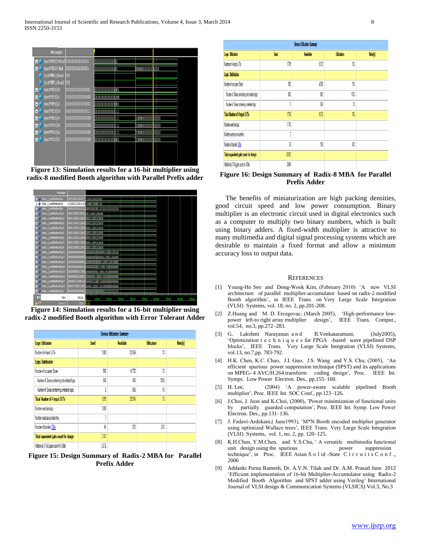

**Figure 13: Simulation results for a 16-bit multiplier using radix-8 modified Booth algorithm with Parallel Prefix adder**



**Figure 14: Simulation results for a 16-bit multiplier using radix-2 modified Booth algorithm with Error Tolerant Adder**

| <b>Device Utilization Summary</b>              |             |                  |                    |         |  |  |  |  |
|------------------------------------------------|-------------|------------------|--------------------|---------|--|--|--|--|
| <b>Logic Utilization</b>                       | <b>Used</b> | <b>Available</b> | <b>Utilization</b> | Note(s) |  |  |  |  |
| Number of 4 input LUTs                         | 1,088       | 29.50A           | 31.                |         |  |  |  |  |
| <b>Logic Distribution</b>                      |             |                  |                    |         |  |  |  |  |
| Number of occupied Slices                      | 568         | 14.752           | 31.                |         |  |  |  |  |
| Number of Slices containing only related logic | 568         | 568              | 100%               |         |  |  |  |  |
| Number of Slices containing unrelated logic    | Ō           | 568              | œ                  |         |  |  |  |  |
| <b>Total Number of 4 input LUTs</b>            | 1.095       | 29.504           | 37                 |         |  |  |  |  |
| Number used as logic                           | 1,088       |                  |                    |         |  |  |  |  |
| Number used as a route-thru                    | 7           |                  |                    |         |  |  |  |  |
| Number of bonded IOBs                          | 64          | 250              | 25%                |         |  |  |  |  |
| Total equivalent gate count for design         | 7.167       |                  |                    |         |  |  |  |  |
| Additional JTAG gate count for IOBs            | 3.072       |                  |                    |         |  |  |  |  |

**Figure 15: Design Summary of Radix-2 MBA for Parallel Prefix Adder**

| Device Utilization Summary                    |       |           |             |         |  |  |  |
|-----------------------------------------------|-------|-----------|-------------|---------|--|--|--|
| Logic Utilization                             | Used  | Available | Utilization | Note(s) |  |  |  |
| Number of 4 input LUTs                        | 176   | 9312      | 18%         |         |  |  |  |
| Logic Distribution                            |       |           |             |         |  |  |  |
| Number of occupied Sices                      | 902   | 4.656     | 191         |         |  |  |  |
| Number of Sices containing only related logic | 90    | 912       | 10t         |         |  |  |  |
| Number of Slices containing unrelated logic   | O     | 912       | O,          |         |  |  |  |
| Total Number of 4 input LUTs                  | 170   | 9312      | 18%         |         |  |  |  |
| Number used as logic                          | 176   |           |             |         |  |  |  |
| Number used as a route-frou                   | 3     |           |             |         |  |  |  |
| Number of bonded IOBs                         | 8     | 190       | Ø.          |         |  |  |  |
| Total equivalent gate count for design        | 10.93 |           |             |         |  |  |  |
| Additional JTAG gate count for ICBs           | 1984  |           |             |         |  |  |  |

**Figure 16: Design Summary of Radix-8 MBA for Parallel Prefix Adder**

 The benefits of miniaturization are high packing densities, good circuit speed and low power consumption. Binary multiplier is an electronic circuit used in digital electronics such as a computer to multiply two binary numbers, which is built using binary adders. A fixed-width multiplier is attractive to many multimedia and digital signal processing systems which are desirable to maintain a fixed format and allow a minimum accuracy loss to output data.

#### **REFERENCES**

- [1] Young-Ho Seo and Dong-Wook Kim, (February 2010) 'A new VLSI architecture of parallel multiplier-accumulator based on radix-2 modified Booth algorithm', in IEEE Trans. on Very Large Scale Integration (VLSI) Systems, vol. 18, no. 2, pp.201-208.
- [2] Z.Huang and M. D. Ercegovac, (March 2005), 'High-performance lowpower left-to right array multiplier design', IEEE Trans. Comput., vol.54, no.3, pp.272–283.
- [3] G. Lakshmi Narayanan a n d B.Venkataramani, (July2005), 'Optimization t e c h n i q u e s for FPGA -based wave pipelined DSP blocks', IEEE Trans. Very Large Scale Integration (VLSI) Systems, vol.13, no.7,pp. 783-792.
- [4] H.K. Chen, K.C. Chao, J.I. Guo, J.S. Wang and Y.S. Chu, (2005), 'An efficient spurious power suppression technique (SPST) and its applications on MPEG- 4 AVC/H.264 transform coding design', Proc. IEEE Int. Symps. Low Power Electron. Des., pp.155–160.
- [5] H. Lee, (2004) 'A power-aware scalable pipelined Booth multiplier', Proc. IEEE Int. SOC Conf., pp.123–126.
- [6] J.Choi, J. Jeon and K.Choi, (2000), 'Power minimization of functional units by partially guarded computation', Proc. IEEE Int. Symp. Low Power Electron. Des., pp.131–136.
- [7] J. Fadavi-Ardekani,( June1993), 'M\*N Booth encoded multiplier generator using optimized Wallace trees', IEEE Trans. Very Large Scale Integration (VLSI) Systems, vol. 1, no. 2, pp. 120–125.
- [8] K.H.Chen, Y.M.Chen, and Y.S.Chu, ' A versatile multimedia functional unit design using the spurious power suppression technique', in Proc. IEEE Asian S o l id -State C i r c u i t s C o n f ., 2006
- [9] Addanki Purna Ramesh, Dr. A.V.N. Tilak and Dr. A.M. Prasad June 2012 'Efficient implementation of 16-bit Multiplier-Accumulator using Radix-2 Modified Booth Algorithm and SPST adder using Verilog' International Journal of VLSI design & Communication Systems (VLSICS) Vol.3, No.3